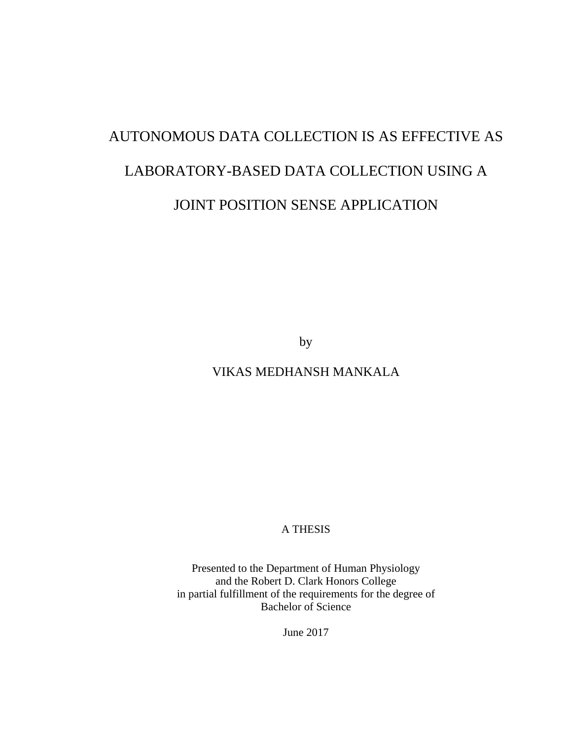# AUTONOMOUS DATA COLLECTION IS AS EFFECTIVE AS LABORATORY-BASED DATA COLLECTION USING A JOINT POSITION SENSE APPLICATION

by

VIKAS MEDHANSH MANKALA

A THESIS

Presented to the Department of Human Physiology and the Robert D. Clark Honors College in partial fulfillment of the requirements for the degree of Bachelor of Science

June 2017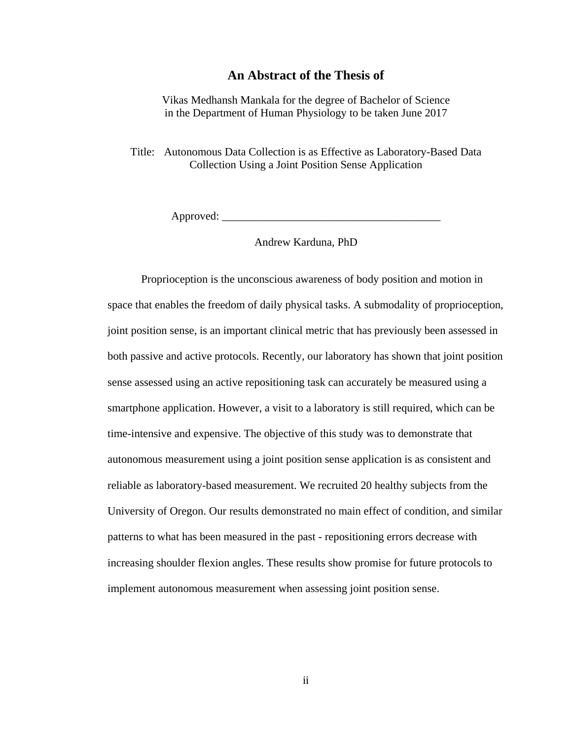## **An Abstract of the Thesis of**

Vikas Medhansh Mankala for the degree of Bachelor of Science in the Department of Human Physiology to be taken June 2017

Title: Autonomous Data Collection is as Effective as Laboratory-Based Data Collection Using a Joint Position Sense Application

 $Appproved: \_\_$ 

Andrew Karduna, PhD

Proprioception is the unconscious awareness of body position and motion in space that enables the freedom of daily physical tasks. A submodality of proprioception, joint position sense, is an important clinical metric that has previously been assessed in both passive and active protocols. Recently, our laboratory has shown that joint position sense assessed using an active repositioning task can accurately be measured using a smartphone application. However, a visit to a laboratory is still required, which can be time-intensive and expensive. The objective of this study was to demonstrate that autonomous measurement using a joint position sense application is as consistent and reliable as laboratory-based measurement. We recruited 20 healthy subjects from the University of Oregon. Our results demonstrated no main effect of condition, and similar patterns to what has been measured in the past - repositioning errors decrease with increasing shoulder flexion angles. These results show promise for future protocols to implement autonomous measurement when assessing joint position sense.

ii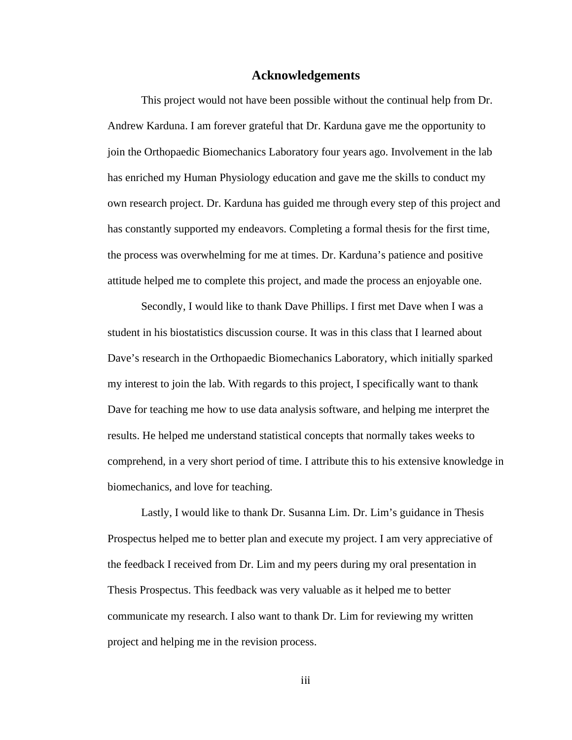## **Acknowledgements**

This project would not have been possible without the continual help from Dr. Andrew Karduna. I am forever grateful that Dr. Karduna gave me the opportunity to join the Orthopaedic Biomechanics Laboratory four years ago. Involvement in the lab has enriched my Human Physiology education and gave me the skills to conduct my own research project. Dr. Karduna has guided me through every step of this project and has constantly supported my endeavors. Completing a formal thesis for the first time, the process was overwhelming for me at times. Dr. Karduna's patience and positive attitude helped me to complete this project, and made the process an enjoyable one.

Secondly, I would like to thank Dave Phillips. I first met Dave when I was a student in his biostatistics discussion course. It was in this class that I learned about Dave's research in the Orthopaedic Biomechanics Laboratory, which initially sparked my interest to join the lab. With regards to this project, I specifically want to thank Dave for teaching me how to use data analysis software, and helping me interpret the results. He helped me understand statistical concepts that normally takes weeks to comprehend, in a very short period of time. I attribute this to his extensive knowledge in biomechanics, and love for teaching.

Lastly, I would like to thank Dr. Susanna Lim. Dr. Lim's guidance in Thesis Prospectus helped me to better plan and execute my project. I am very appreciative of the feedback I received from Dr. Lim and my peers during my oral presentation in Thesis Prospectus. This feedback was very valuable as it helped me to better communicate my research. I also want to thank Dr. Lim for reviewing my written project and helping me in the revision process.

iii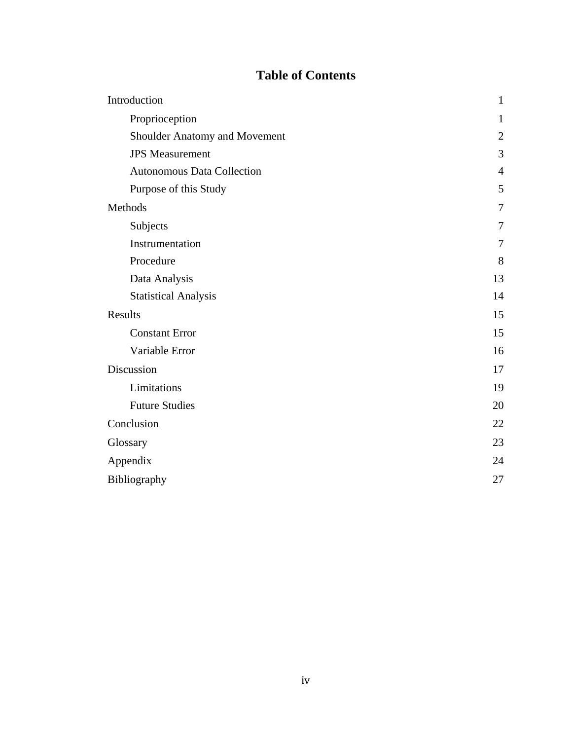## **Table of Contents**

| Introduction                      | $\mathbf{1}$   |
|-----------------------------------|----------------|
| Proprioception                    | 1              |
| Shoulder Anatomy and Movement     | $\overline{2}$ |
| <b>JPS</b> Measurement            | 3              |
| <b>Autonomous Data Collection</b> | $\overline{4}$ |
| Purpose of this Study             | 5              |
| Methods                           | $\overline{7}$ |
| Subjects                          | 7              |
| Instrumentation                   | 7              |
| Procedure                         | 8              |
| Data Analysis                     | 13             |
| <b>Statistical Analysis</b>       | 14             |
| Results                           | 15             |
| <b>Constant Error</b>             | 15             |
| Variable Error                    | 16             |
| Discussion                        | 17             |
| Limitations                       | 19             |
| <b>Future Studies</b>             | 20             |
| Conclusion                        | 22             |
| Glossary                          | 23             |
| Appendix                          | 24             |
| Bibliography                      | 27             |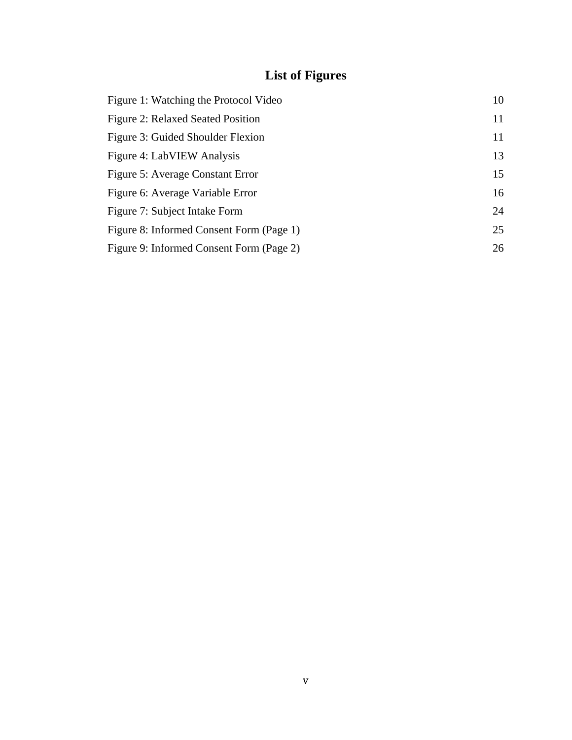## **List of Figures**

| Figure 1: Watching the Protocol Video    | 10 |
|------------------------------------------|----|
| <b>Figure 2: Relaxed Seated Position</b> | 11 |
| Figure 3: Guided Shoulder Flexion        | 11 |
| Figure 4: LabVIEW Analysis               | 13 |
| Figure 5: Average Constant Error         | 15 |
| Figure 6: Average Variable Error         | 16 |
| Figure 7: Subject Intake Form            | 24 |
| Figure 8: Informed Consent Form (Page 1) | 25 |
| Figure 9: Informed Consent Form (Page 2) | 26 |
|                                          |    |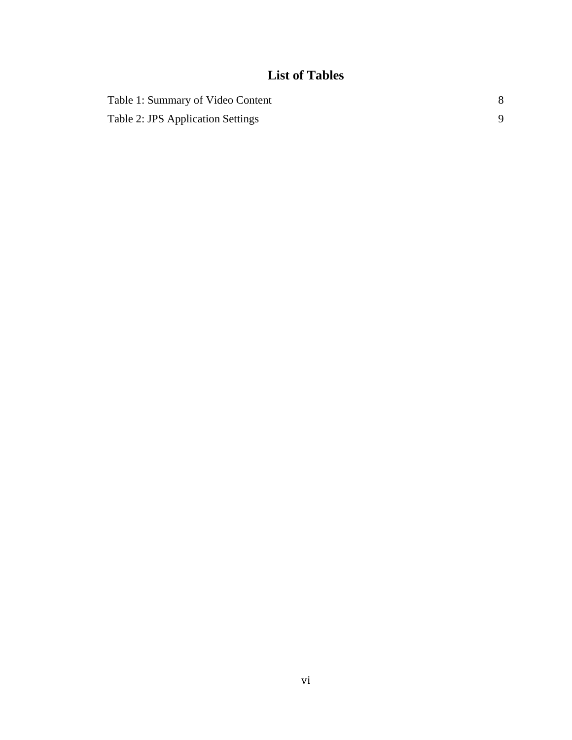## **List of Tables**

| Table 1: Summary of Video Content |  |
|-----------------------------------|--|
| Table 2: JPS Application Settings |  |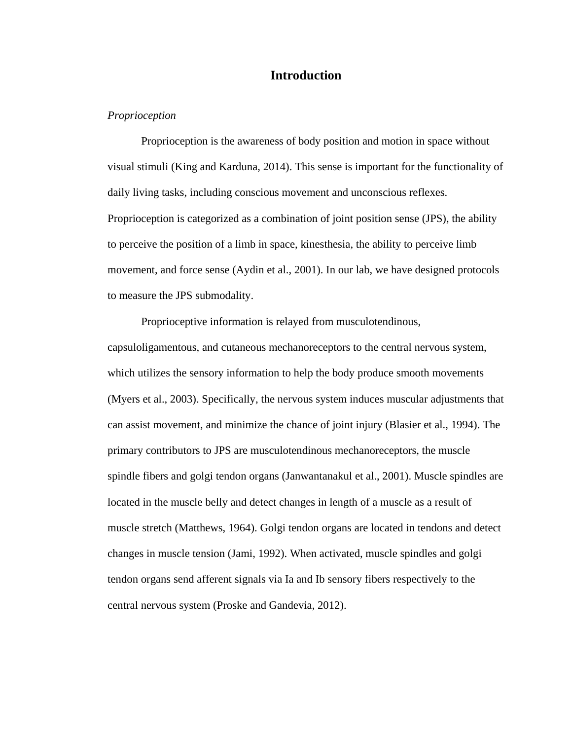## **Introduction**

#### *Proprioception*

Proprioception is the awareness of body position and motion in space without visual stimuli (King and Karduna, 2014). This sense is important for the functionality of daily living tasks, including conscious movement and unconscious reflexes. Proprioception is categorized as a combination of joint position sense (JPS), the ability to perceive the position of a limb in space, kinesthesia, the ability to perceive limb movement, and force sense (Aydin et al., 2001). In our lab, we have designed protocols to measure the JPS submodality.

Proprioceptive information is relayed from musculotendinous, capsuloligamentous, and cutaneous mechanoreceptors to the central nervous system, which utilizes the sensory information to help the body produce smooth movements (Myers et al., 2003). Specifically, the nervous system induces muscular adjustments that can assist movement, and minimize the chance of joint injury (Blasier et al., 1994). The primary contributors to JPS are musculotendinous mechanoreceptors, the muscle spindle fibers and golgi tendon organs (Janwantanakul et al., 2001). Muscle spindles are located in the muscle belly and detect changes in length of a muscle as a result of muscle stretch (Matthews, 1964). Golgi tendon organs are located in tendons and detect changes in muscle tension (Jami, 1992). When activated, muscle spindles and golgi tendon organs send afferent signals via Ia and Ib sensory fibers respectively to the central nervous system (Proske and Gandevia, 2012).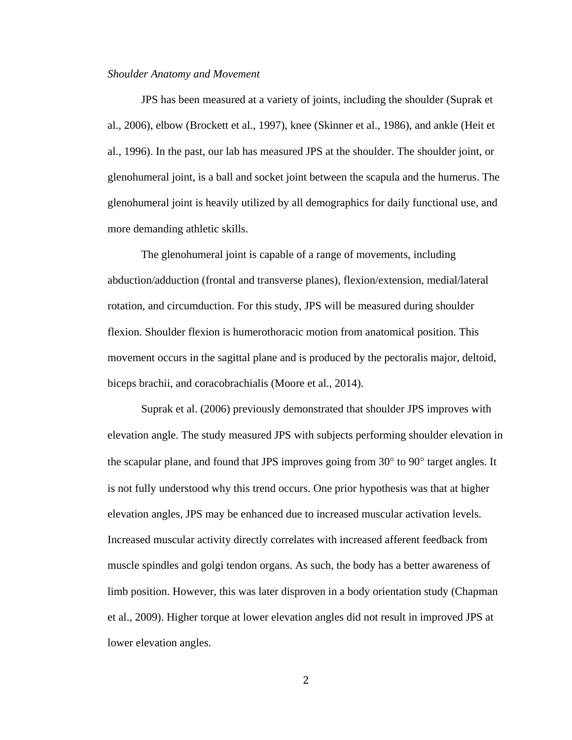#### *Shoulder Anatomy and Movement*

JPS has been measured at a variety of joints, including the shoulder (Suprak et al., 2006), elbow (Brockett et al., 1997), knee (Skinner et al., 1986), and ankle (Heit et al., 1996). In the past, our lab has measured JPS at the shoulder. The shoulder joint, or glenohumeral joint, is a ball and socket joint between the scapula and the humerus. The glenohumeral joint is heavily utilized by all demographics for daily functional use, and more demanding athletic skills.

The glenohumeral joint is capable of a range of movements, including abduction/adduction (frontal and transverse planes), flexion/extension, medial/lateral rotation, and circumduction. For this study, JPS will be measured during shoulder flexion. Shoulder flexion is humerothoracic motion from anatomical position. This movement occurs in the sagittal plane and is produced by the pectoralis major, deltoid, biceps brachii, and coracobrachialis (Moore et al., 2014).

Suprak et al. (2006) previously demonstrated that shoulder JPS improves with elevation angle. The study measured JPS with subjects performing shoulder elevation in the scapular plane, and found that JPS improves going from 30° to 90° target angles. It is not fully understood why this trend occurs. One prior hypothesis was that at higher elevation angles, JPS may be enhanced due to increased muscular activation levels. Increased muscular activity directly correlates with increased afferent feedback from muscle spindles and golgi tendon organs. As such, the body has a better awareness of limb position. However, this was later disproven in a body orientation study (Chapman et al., 2009). Higher torque at lower elevation angles did not result in improved JPS at lower elevation angles.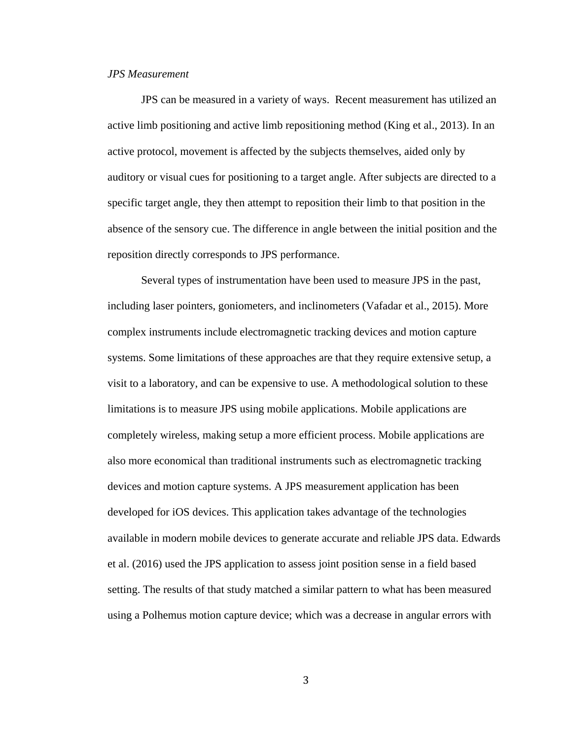#### *JPS Measurement*

JPS can be measured in a variety of ways. Recent measurement has utilized an active limb positioning and active limb repositioning method (King et al., 2013). In an active protocol, movement is affected by the subjects themselves, aided only by auditory or visual cues for positioning to a target angle. After subjects are directed to a specific target angle, they then attempt to reposition their limb to that position in the absence of the sensory cue. The difference in angle between the initial position and the reposition directly corresponds to JPS performance.

Several types of instrumentation have been used to measure JPS in the past, including laser pointers, goniometers, and inclinometers (Vafadar et al., 2015). More complex instruments include electromagnetic tracking devices and motion capture systems. Some limitations of these approaches are that they require extensive setup, a visit to a laboratory, and can be expensive to use. A methodological solution to these limitations is to measure JPS using mobile applications. Mobile applications are completely wireless, making setup a more efficient process. Mobile applications are also more economical than traditional instruments such as electromagnetic tracking devices and motion capture systems. A JPS measurement application has been developed for iOS devices. This application takes advantage of the technologies available in modern mobile devices to generate accurate and reliable JPS data. Edwards et al. (2016) used the JPS application to assess joint position sense in a field based setting. The results of that study matched a similar pattern to what has been measured using a Polhemus motion capture device; which was a decrease in angular errors with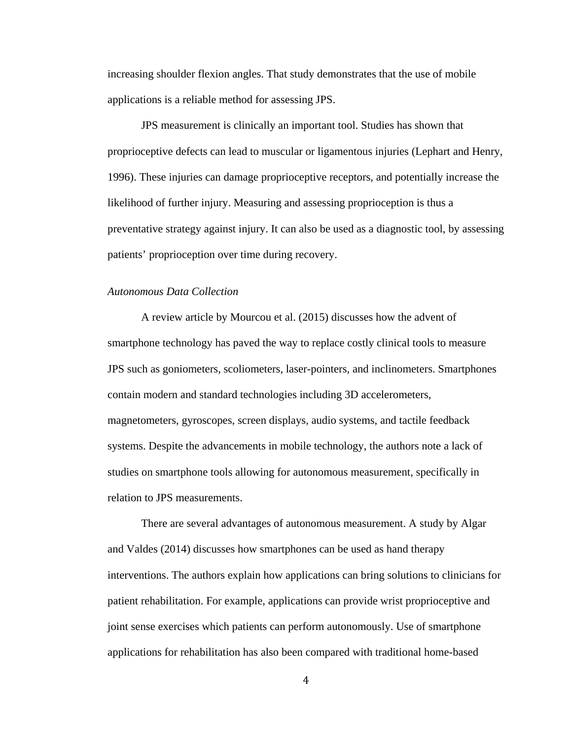increasing shoulder flexion angles. That study demonstrates that the use of mobile applications is a reliable method for assessing JPS.

JPS measurement is clinically an important tool. Studies has shown that proprioceptive defects can lead to muscular or ligamentous injuries (Lephart and Henry, 1996). These injuries can damage proprioceptive receptors, and potentially increase the likelihood of further injury. Measuring and assessing proprioception is thus a preventative strategy against injury. It can also be used as a diagnostic tool, by assessing patients' proprioception over time during recovery.

#### *Autonomous Data Collection*

A review article by Mourcou et al. (2015) discusses how the advent of smartphone technology has paved the way to replace costly clinical tools to measure JPS such as goniometers, scoliometers, laser-pointers, and inclinometers. Smartphones contain modern and standard technologies including 3D accelerometers, magnetometers, gyroscopes, screen displays, audio systems, and tactile feedback systems. Despite the advancements in mobile technology, the authors note a lack of studies on smartphone tools allowing for autonomous measurement, specifically in relation to JPS measurements.

There are several advantages of autonomous measurement. A study by Algar and Valdes (2014) discusses how smartphones can be used as hand therapy interventions. The authors explain how applications can bring solutions to clinicians for patient rehabilitation. For example, applications can provide wrist proprioceptive and joint sense exercises which patients can perform autonomously. Use of smartphone applications for rehabilitation has also been compared with traditional home-based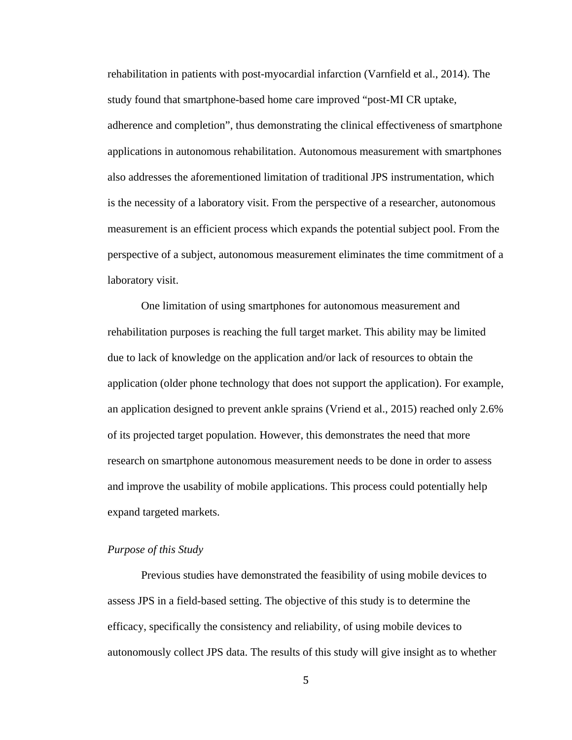rehabilitation in patients with post-myocardial infarction (Varnfield et al., 2014). The study found that smartphone-based home care improved "post-MI CR uptake, adherence and completion", thus demonstrating the clinical effectiveness of smartphone applications in autonomous rehabilitation. Autonomous measurement with smartphones also addresses the aforementioned limitation of traditional JPS instrumentation, which is the necessity of a laboratory visit. From the perspective of a researcher, autonomous measurement is an efficient process which expands the potential subject pool. From the perspective of a subject, autonomous measurement eliminates the time commitment of a laboratory visit.

One limitation of using smartphones for autonomous measurement and rehabilitation purposes is reaching the full target market. This ability may be limited due to lack of knowledge on the application and/or lack of resources to obtain the application (older phone technology that does not support the application). For example, an application designed to prevent ankle sprains (Vriend et al., 2015) reached only 2.6% of its projected target population. However, this demonstrates the need that more research on smartphone autonomous measurement needs to be done in order to assess and improve the usability of mobile applications. This process could potentially help expand targeted markets.

## *Purpose of this Study*

Previous studies have demonstrated the feasibility of using mobile devices to assess JPS in a field-based setting. The objective of this study is to determine the efficacy, specifically the consistency and reliability, of using mobile devices to autonomously collect JPS data. The results of this study will give insight as to whether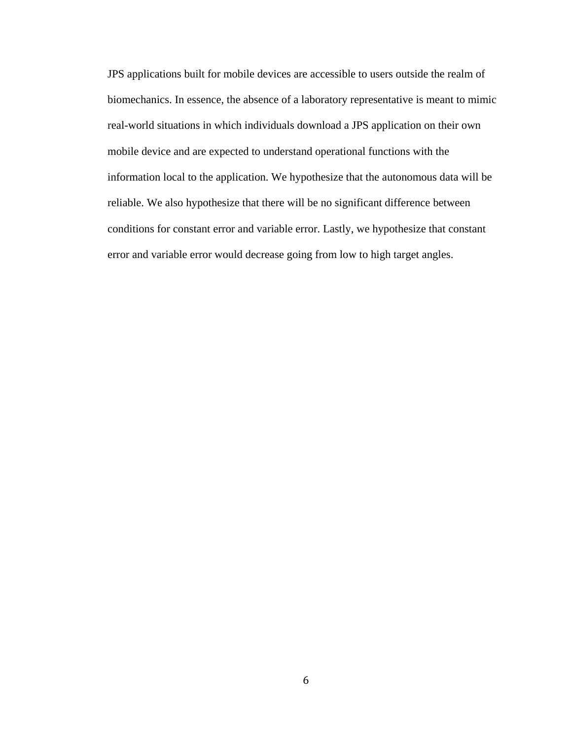JPS applications built for mobile devices are accessible to users outside the realm of biomechanics. In essence, the absence of a laboratory representative is meant to mimic real-world situations in which individuals download a JPS application on their own mobile device and are expected to understand operational functions with the information local to the application. We hypothesize that the autonomous data will be reliable. We also hypothesize that there will be no significant difference between conditions for constant error and variable error. Lastly, we hypothesize that constant error and variable error would decrease going from low to high target angles.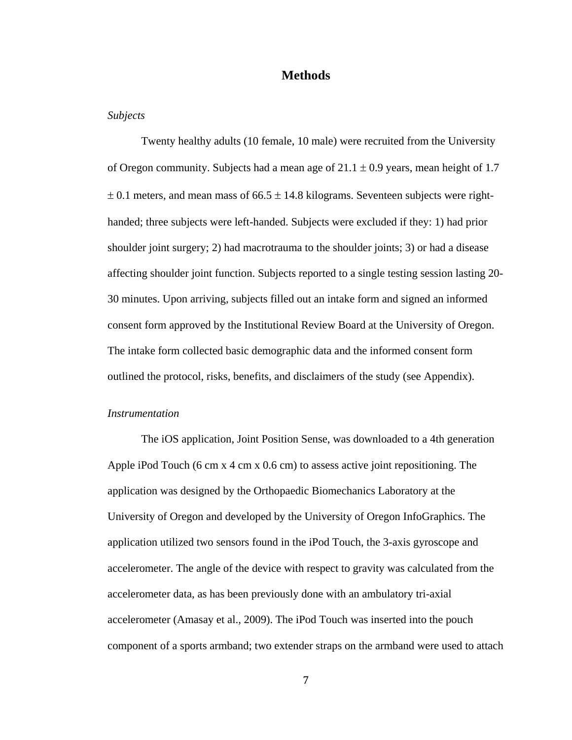## **Methods**

#### *Subjects*

Twenty healthy adults (10 female, 10 male) were recruited from the University of Oregon community. Subjects had a mean age of  $21.1 \pm 0.9$  years, mean height of 1.7  $\pm$  0.1 meters, and mean mass of 66.5  $\pm$  14.8 kilograms. Seventeen subjects were righthanded; three subjects were left-handed. Subjects were excluded if they: 1) had prior shoulder joint surgery; 2) had macrotrauma to the shoulder joints; 3) or had a disease affecting shoulder joint function. Subjects reported to a single testing session lasting 20- 30 minutes. Upon arriving, subjects filled out an intake form and signed an informed consent form approved by the Institutional Review Board at the University of Oregon. The intake form collected basic demographic data and the informed consent form outlined the protocol, risks, benefits, and disclaimers of the study (see Appendix).

## *Instrumentation*

The iOS application, Joint Position Sense, was downloaded to a 4th generation Apple iPod Touch (6 cm x 4 cm x 0.6 cm) to assess active joint repositioning. The application was designed by the Orthopaedic Biomechanics Laboratory at the University of Oregon and developed by the University of Oregon InfoGraphics. The application utilized two sensors found in the iPod Touch, the 3-axis gyroscope and accelerometer. The angle of the device with respect to gravity was calculated from the accelerometer data, as has been previously done with an ambulatory tri-axial accelerometer (Amasay et al., 2009). The iPod Touch was inserted into the pouch component of a sports armband; two extender straps on the armband were used to attach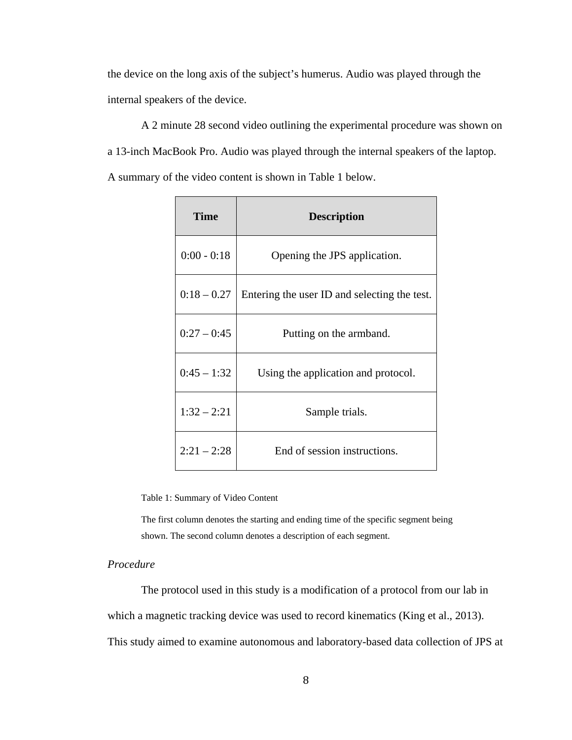the device on the long axis of the subject's humerus. Audio was played through the internal speakers of the device.

A 2 minute 28 second video outlining the experimental procedure was shown on a 13-inch MacBook Pro. Audio was played through the internal speakers of the laptop. A summary of the video content is shown in Table 1 below.

| Time          | <b>Description</b>                           |
|---------------|----------------------------------------------|
| $0:00 - 0:18$ | Opening the JPS application.                 |
| $0:18 - 0.27$ | Entering the user ID and selecting the test. |
| $0:27 - 0:45$ | Putting on the armband.                      |
| $0:45 - 1:32$ | Using the application and protocol.          |
| $1:32 - 2:21$ | Sample trials.                               |
| $2:21 - 2:28$ | End of session instructions.                 |

<span id="page-13-0"></span>Table 1: Summary of Video Content

The first column denotes the starting and ending time of the specific segment being shown. The second column denotes a description of each segment.

## *Procedure*

The protocol used in this study is a modification of a protocol from our lab in which a magnetic tracking device was used to record kinematics (King et al., 2013). This study aimed to examine autonomous and laboratory-based data collection of JPS at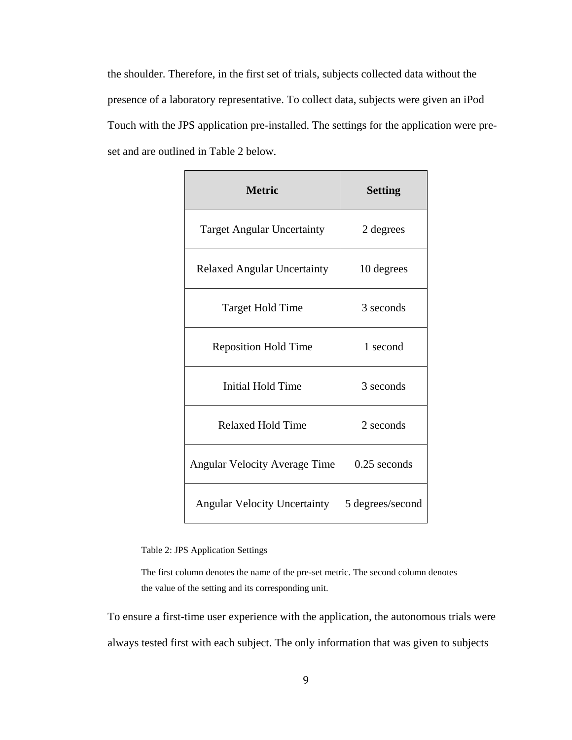the shoulder. Therefore, in the first set of trials, subjects collected data without the presence of a laboratory representative. To collect data, subjects were given an iPod Touch with the JPS application pre-installed. The settings for the application were preset and are outlined in Table 2 below.

| <b>Metric</b>                        | <b>Setting</b>   |
|--------------------------------------|------------------|
| <b>Target Angular Uncertainty</b>    | 2 degrees        |
| <b>Relaxed Angular Uncertainty</b>   | 10 degrees       |
| <b>Target Hold Time</b>              | 3 seconds        |
| <b>Reposition Hold Time</b>          | 1 second         |
| Initial Hold Time                    | 3 seconds        |
| <b>Relaxed Hold Time</b>             | 2 seconds        |
| <b>Angular Velocity Average Time</b> | $0.25$ seconds   |
| <b>Angular Velocity Uncertainty</b>  | 5 degrees/second |

<span id="page-14-0"></span>Table 2: JPS Application Settings

The first column denotes the name of the pre-set metric. The second column denotes the value of the setting and its corresponding unit.

To ensure a first-time user experience with the application, the autonomous trials were always tested first with each subject. The only information that was given to subjects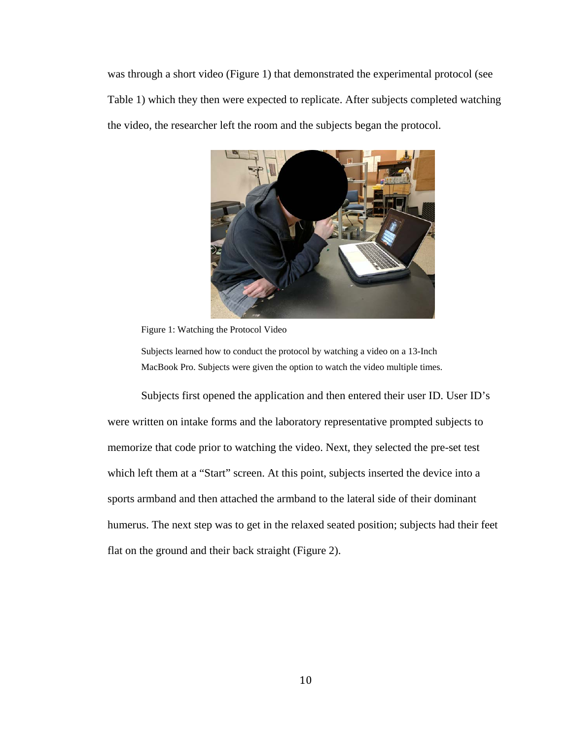was through a short video (Figure 1) that demonstrated the experimental protocol (see Table 1) which they then were expected to replicate. After subjects completed watching the video, the researcher left the room and the subjects began the protocol.



Figure 1: Watching the Protocol Video

<span id="page-15-0"></span>Subjects learned how to conduct the protocol by watching a video on a 13-Inch MacBook Pro. Subjects were given the option to watch the video multiple times.

Subjects first opened the application and then entered their user ID. User ID's were written on intake forms and the laboratory representative prompted subjects to memorize that code prior to watching the video. Next, they selected the pre-set test which left them at a "Start" screen. At this point, subjects inserted the device into a sports armband and then attached the armband to the lateral side of their dominant humerus. The next step was to get in the relaxed seated position; subjects had their feet flat on the ground and their back straight (Figure 2).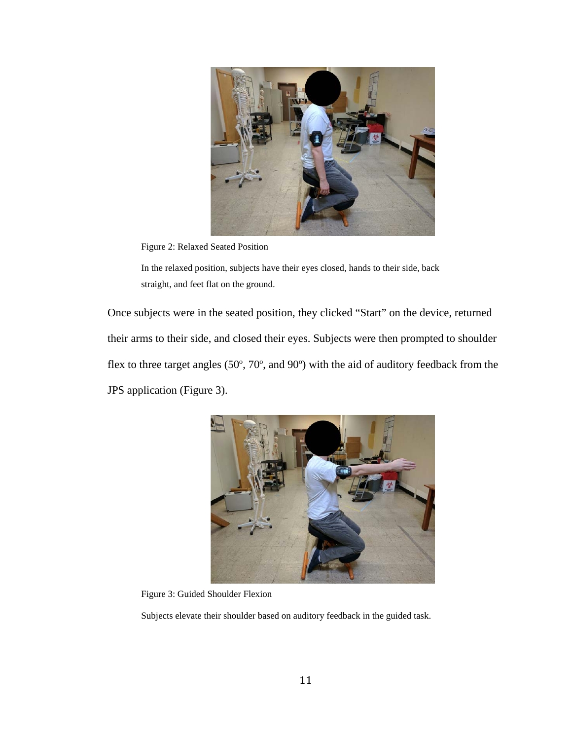

Figure 2: Relaxed Seated Position

<span id="page-16-0"></span>In the relaxed position, subjects have their eyes closed, hands to their side, back straight, and feet flat on the ground.

Once subjects were in the seated position, they clicked "Start" on the device, returned their arms to their side, and closed their eyes. Subjects were then prompted to shoulder flex to three target angles (50º, 70º, and 90º) with the aid of auditory feedback from the JPS application (Figure 3).



Figure 3: Guided Shoulder Flexion

<span id="page-16-1"></span>Subjects elevate their shoulder based on auditory feedback in the guided task.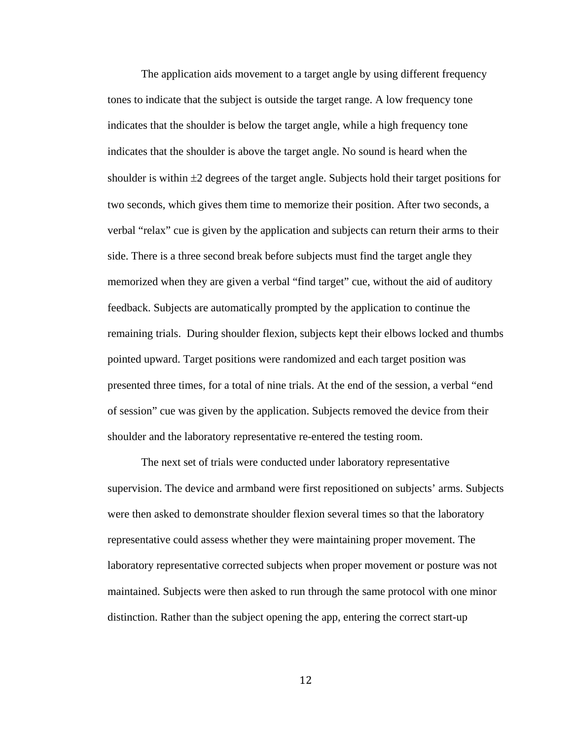The application aids movement to a target angle by using different frequency tones to indicate that the subject is outside the target range. A low frequency tone indicates that the shoulder is below the target angle, while a high frequency tone indicates that the shoulder is above the target angle. No sound is heard when the shoulder is within ±2 degrees of the target angle. Subjects hold their target positions for two seconds, which gives them time to memorize their position. After two seconds, a verbal "relax" cue is given by the application and subjects can return their arms to their side. There is a three second break before subjects must find the target angle they memorized when they are given a verbal "find target" cue, without the aid of auditory feedback. Subjects are automatically prompted by the application to continue the remaining trials. During shoulder flexion, subjects kept their elbows locked and thumbs pointed upward. Target positions were randomized and each target position was presented three times, for a total of nine trials. At the end of the session, a verbal "end of session" cue was given by the application. Subjects removed the device from their shoulder and the laboratory representative re-entered the testing room.

The next set of trials were conducted under laboratory representative supervision. The device and armband were first repositioned on subjects' arms. Subjects were then asked to demonstrate shoulder flexion several times so that the laboratory representative could assess whether they were maintaining proper movement. The laboratory representative corrected subjects when proper movement or posture was not maintained. Subjects were then asked to run through the same protocol with one minor distinction. Rather than the subject opening the app, entering the correct start-up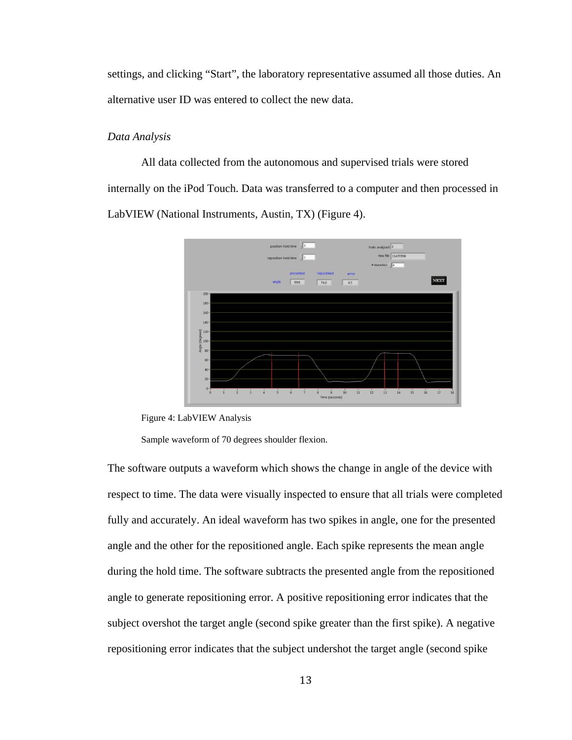settings, and clicking "Start", the laboratory representative assumed all those duties. An alternative user ID was entered to collect the new data.

## *Data Analysis*

All data collected from the autonomous and supervised trials were stored internally on the iPod Touch. Data was transferred to a computer and then processed in LabVIEW (National Instruments, Austin, TX) (Figure 4).



<span id="page-18-0"></span>Figure 4: LabVIEW Analysis

Sample waveform of 70 degrees shoulder flexion.

The software outputs a waveform which shows the change in angle of the device with respect to time. The data were visually inspected to ensure that all trials were completed fully and accurately. An ideal waveform has two spikes in angle, one for the presented angle and the other for the repositioned angle. Each spike represents the mean angle during the hold time. The software subtracts the presented angle from the repositioned angle to generate repositioning error. A positive repositioning error indicates that the subject overshot the target angle (second spike greater than the first spike). A negative repositioning error indicates that the subject undershot the target angle (second spike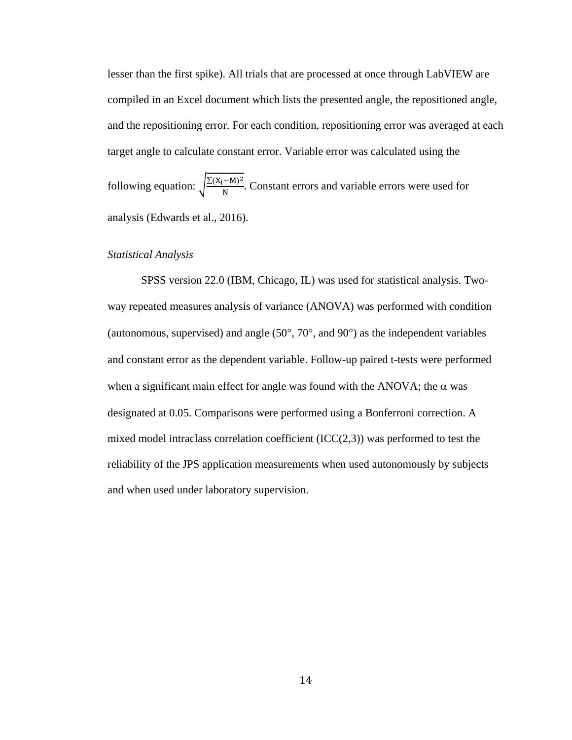lesser than the first spike). All trials that are processed at once through LabVIEW are compiled in an Excel document which lists the presented angle, the repositioned angle, and the repositioning error. For each condition, repositioning error was averaged at each target angle to calculate constant error. Variable error was calculated using the

following equation:  $\sqrt{\frac{\sum (X_i - M)^2}{N}}$ . Constant errors and variable errors were used for analysis (Edwards et al., 2016).

#### *Statistical Analysis*

SPSS version 22.0 (IBM, Chicago, IL) was used for statistical analysis. Twoway repeated measures analysis of variance (ANOVA) was performed with condition (autonomous, supervised) and angle (50°, 70°, and 90°) as the independent variables and constant error as the dependent variable. Follow-up paired t-tests were performed when a significant main effect for angle was found with the ANOVA; the  $\alpha$  was designated at 0.05. Comparisons were performed using a Bonferroni correction. A mixed model intraclass correlation coefficient  $(ICC(2,3))$  was performed to test the reliability of the JPS application measurements when used autonomously by subjects and when used under laboratory supervision.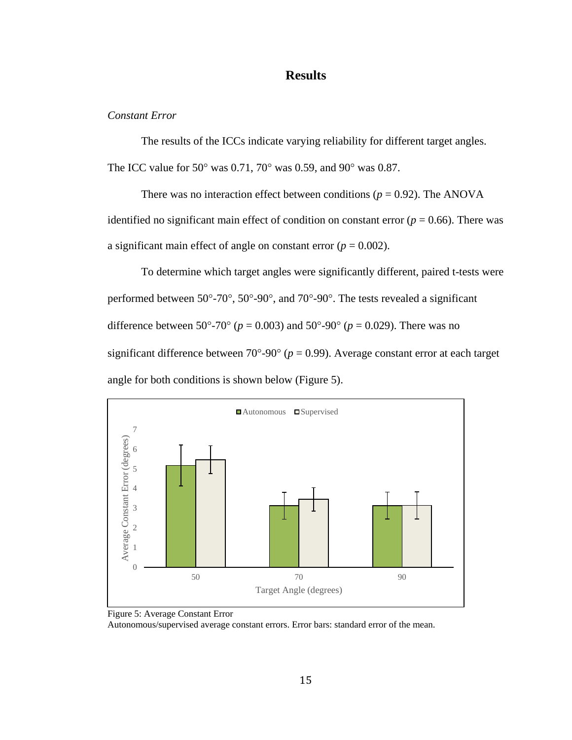## **Results**

## *Constant Error*

The results of the ICCs indicate varying reliability for different target angles. The ICC value for 50° was 0.71, 70° was 0.59, and 90° was 0.87.

There was no interaction effect between conditions ( $p = 0.92$ ). The ANOVA identified no significant main effect of condition on constant error ( $p = 0.66$ ). There was a significant main effect of angle on constant error  $(p = 0.002)$ .

To determine which target angles were significantly different, paired t-tests were performed between 50°-70°, 50°-90°, and 70°-90°. The tests revealed a significant difference between 50°-70° ( $p = 0.003$ ) and 50°-90° ( $p = 0.029$ ). There was no significant difference between  $70^{\circ}$ -90° ( $p = 0.99$ ). Average constant error at each target angle for both conditions is shown below (Figure 5).

<span id="page-20-0"></span>



Autonomous/supervised average constant errors. Error bars: standard error of the mean.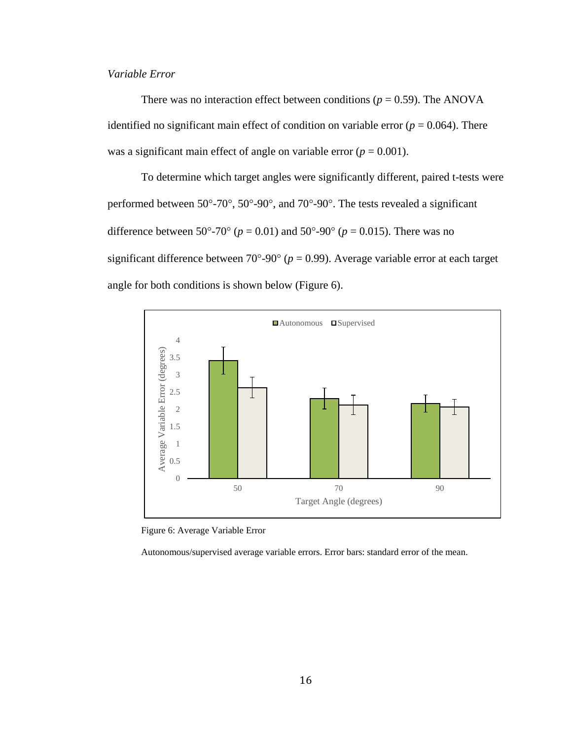## *Variable Error*

There was no interaction effect between conditions ( $p = 0.59$ ). The ANOVA identified no significant main effect of condition on variable error ( $p = 0.064$ ). There was a significant main effect of angle on variable error  $(p = 0.001)$ .

To determine which target angles were significantly different, paired t-tests were performed between 50°-70°, 50°-90°, and 70°-90°. The tests revealed a significant difference between 50°-70° ( $p = 0.01$ ) and 50°-90° ( $p = 0.015$ ). There was no significant difference between  $70^{\circ}$ -90° ( $p = 0.99$ ). Average variable error at each target angle for both conditions is shown below (Figure 6).



<span id="page-21-0"></span>Figure 6: Average Variable Error

Autonomous/supervised average variable errors. Error bars: standard error of the mean.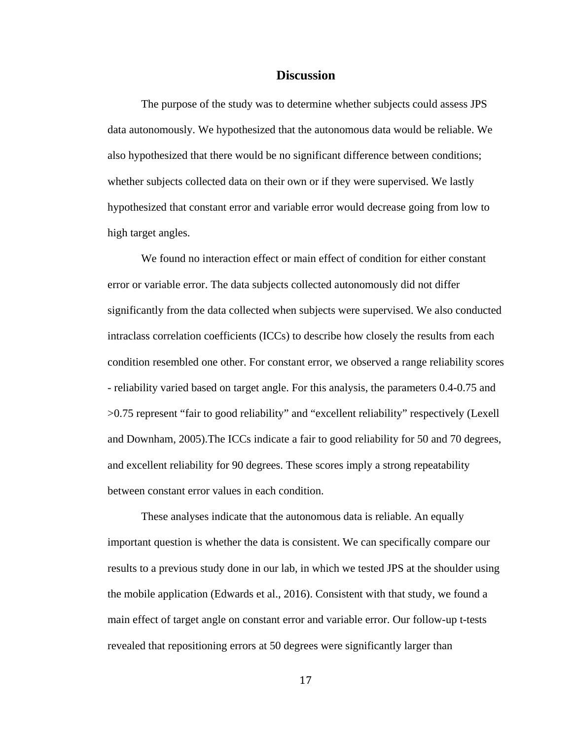### **Discussion**

The purpose of the study was to determine whether subjects could assess JPS data autonomously. We hypothesized that the autonomous data would be reliable. We also hypothesized that there would be no significant difference between conditions; whether subjects collected data on their own or if they were supervised. We lastly hypothesized that constant error and variable error would decrease going from low to high target angles.

We found no interaction effect or main effect of condition for either constant error or variable error. The data subjects collected autonomously did not differ significantly from the data collected when subjects were supervised. We also conducted intraclass correlation coefficients (ICCs) to describe how closely the results from each condition resembled one other. For constant error, we observed a range reliability scores - reliability varied based on target angle. For this analysis, the parameters 0.4-0.75 and >0.75 represent "fair to good reliability" and "excellent reliability" respectively (Lexell and Downham, 2005).The ICCs indicate a fair to good reliability for 50 and 70 degrees, and excellent reliability for 90 degrees. These scores imply a strong repeatability between constant error values in each condition.

These analyses indicate that the autonomous data is reliable. An equally important question is whether the data is consistent. We can specifically compare our results to a previous study done in our lab, in which we tested JPS at the shoulder using the mobile application (Edwards et al., 2016). Consistent with that study, we found a main effect of target angle on constant error and variable error. Our follow-up t-tests revealed that repositioning errors at 50 degrees were significantly larger than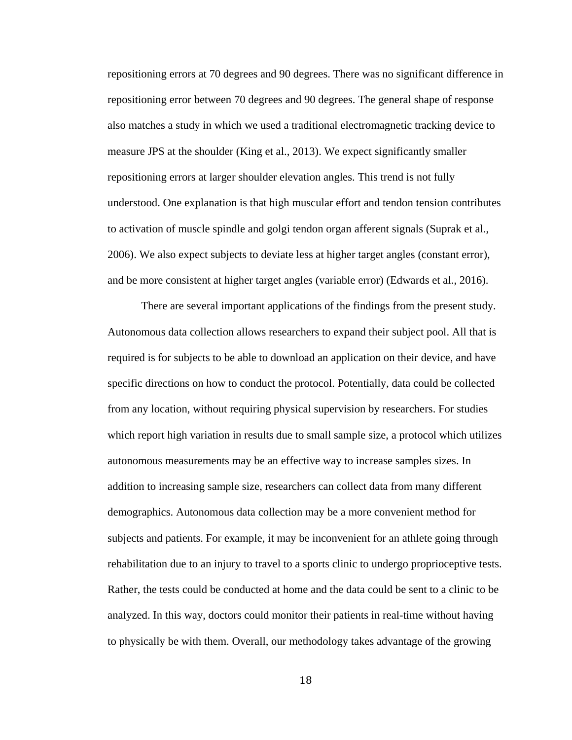repositioning errors at 70 degrees and 90 degrees. There was no significant difference in repositioning error between 70 degrees and 90 degrees. The general shape of response also matches a study in which we used a traditional electromagnetic tracking device to measure JPS at the shoulder (King et al., 2013). We expect significantly smaller repositioning errors at larger shoulder elevation angles. This trend is not fully understood. One explanation is that high muscular effort and tendon tension contributes to activation of muscle spindle and golgi tendon organ afferent signals (Suprak et al., 2006). We also expect subjects to deviate less at higher target angles (constant error), and be more consistent at higher target angles (variable error) (Edwards et al., 2016).

There are several important applications of the findings from the present study. Autonomous data collection allows researchers to expand their subject pool. All that is required is for subjects to be able to download an application on their device, and have specific directions on how to conduct the protocol. Potentially, data could be collected from any location, without requiring physical supervision by researchers. For studies which report high variation in results due to small sample size, a protocol which utilizes autonomous measurements may be an effective way to increase samples sizes. In addition to increasing sample size, researchers can collect data from many different demographics. Autonomous data collection may be a more convenient method for subjects and patients. For example, it may be inconvenient for an athlete going through rehabilitation due to an injury to travel to a sports clinic to undergo proprioceptive tests. Rather, the tests could be conducted at home and the data could be sent to a clinic to be analyzed. In this way, doctors could monitor their patients in real-time without having to physically be with them. Overall, our methodology takes advantage of the growing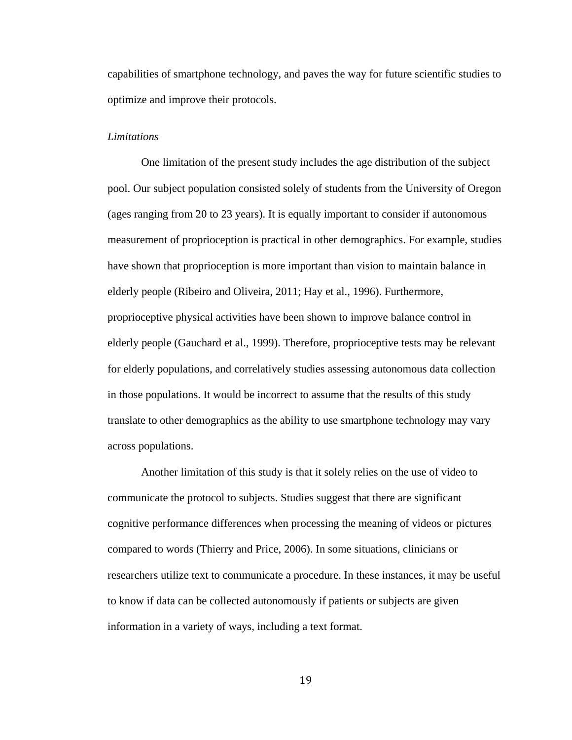capabilities of smartphone technology, and paves the way for future scientific studies to optimize and improve their protocols.

#### *Limitations*

One limitation of the present study includes the age distribution of the subject pool. Our subject population consisted solely of students from the University of Oregon (ages ranging from 20 to 23 years). It is equally important to consider if autonomous measurement of proprioception is practical in other demographics. For example, studies have shown that proprioception is more important than vision to maintain balance in elderly people (Ribeiro and Oliveira, 2011; Hay et al., 1996). Furthermore, proprioceptive physical activities have been shown to improve balance control in elderly people (Gauchard et al., 1999). Therefore, proprioceptive tests may be relevant for elderly populations, and correlatively studies assessing autonomous data collection in those populations. It would be incorrect to assume that the results of this study translate to other demographics as the ability to use smartphone technology may vary across populations.

Another limitation of this study is that it solely relies on the use of video to communicate the protocol to subjects. Studies suggest that there are significant cognitive performance differences when processing the meaning of videos or pictures compared to words (Thierry and Price, 2006). In some situations, clinicians or researchers utilize text to communicate a procedure. In these instances, it may be useful to know if data can be collected autonomously if patients or subjects are given information in a variety of ways, including a text format.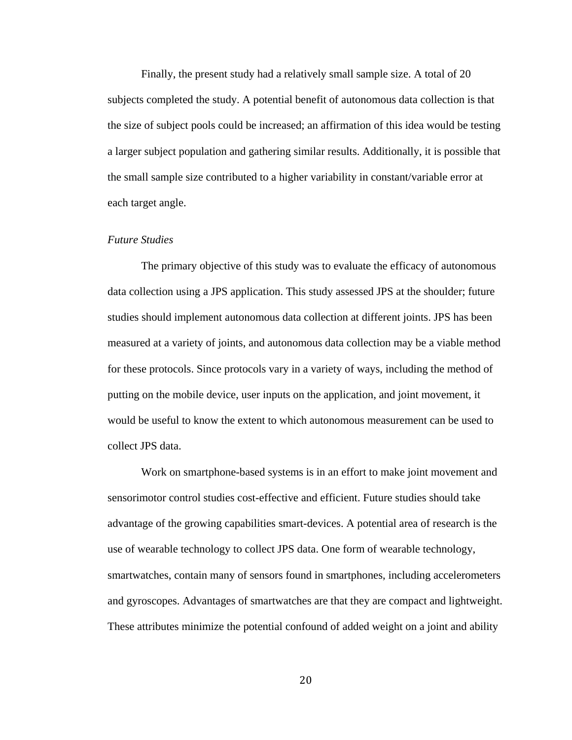Finally, the present study had a relatively small sample size. A total of 20 subjects completed the study. A potential benefit of autonomous data collection is that the size of subject pools could be increased; an affirmation of this idea would be testing a larger subject population and gathering similar results. Additionally, it is possible that the small sample size contributed to a higher variability in constant/variable error at each target angle.

#### *Future Studies*

The primary objective of this study was to evaluate the efficacy of autonomous data collection using a JPS application. This study assessed JPS at the shoulder; future studies should implement autonomous data collection at different joints. JPS has been measured at a variety of joints, and autonomous data collection may be a viable method for these protocols. Since protocols vary in a variety of ways, including the method of putting on the mobile device, user inputs on the application, and joint movement, it would be useful to know the extent to which autonomous measurement can be used to collect JPS data.

Work on smartphone-based systems is in an effort to make joint movement and sensorimotor control studies cost-effective and efficient. Future studies should take advantage of the growing capabilities smart-devices. A potential area of research is the use of wearable technology to collect JPS data. One form of wearable technology, smartwatches, contain many of sensors found in smartphones, including accelerometers and gyroscopes. Advantages of smartwatches are that they are compact and lightweight. These attributes minimize the potential confound of added weight on a joint and ability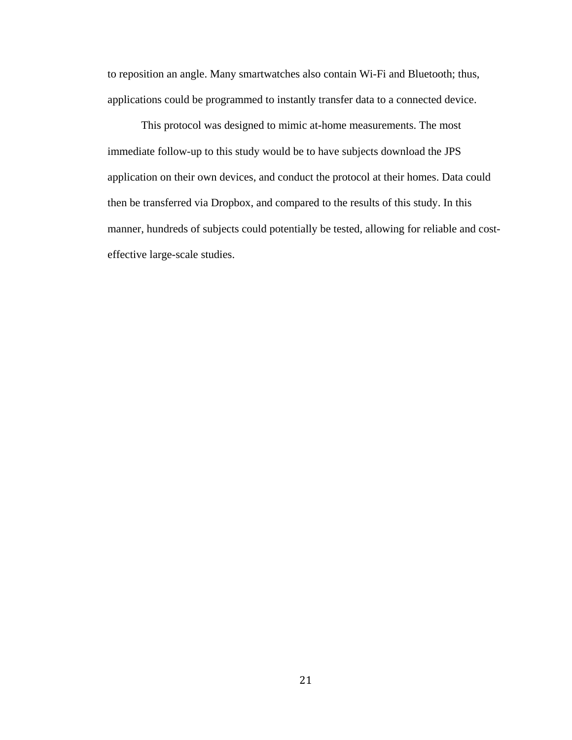to reposition an angle. Many smartwatches also contain Wi-Fi and Bluetooth; thus, applications could be programmed to instantly transfer data to a connected device.

This protocol was designed to mimic at-home measurements. The most immediate follow-up to this study would be to have subjects download the JPS application on their own devices, and conduct the protocol at their homes. Data could then be transferred via Dropbox, and compared to the results of this study. In this manner, hundreds of subjects could potentially be tested, allowing for reliable and costeffective large-scale studies.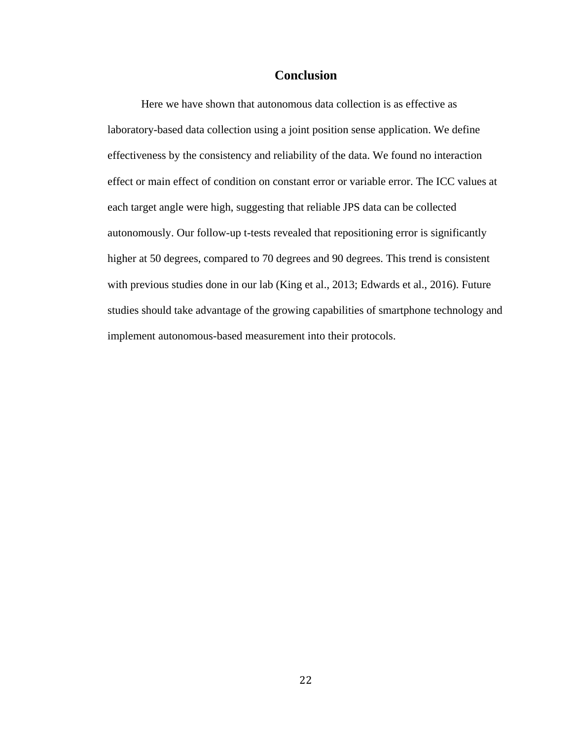## **Conclusion**

Here we have shown that autonomous data collection is as effective as laboratory-based data collection using a joint position sense application. We define effectiveness by the consistency and reliability of the data. We found no interaction effect or main effect of condition on constant error or variable error. The ICC values at each target angle were high, suggesting that reliable JPS data can be collected autonomously. Our follow-up t-tests revealed that repositioning error is significantly higher at 50 degrees, compared to 70 degrees and 90 degrees. This trend is consistent with previous studies done in our lab (King et al., 2013; Edwards et al., 2016). Future studies should take advantage of the growing capabilities of smartphone technology and implement autonomous-based measurement into their protocols.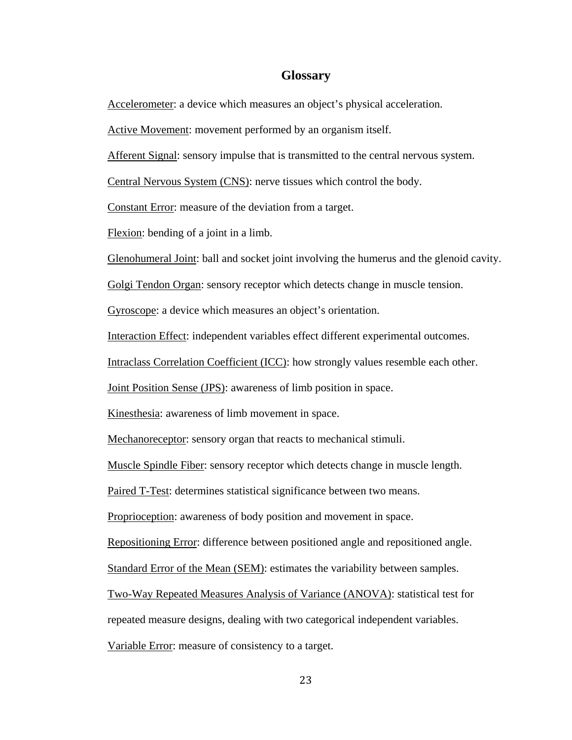## **Glossary**

Accelerometer: a device which measures an object's physical acceleration.

Active Movement: movement performed by an organism itself.

Afferent Signal: sensory impulse that is transmitted to the central nervous system.

Central Nervous System (CNS): nerve tissues which control the body.

Constant Error: measure of the deviation from a target.

Flexion: bending of a joint in a limb.

Glenohumeral Joint: ball and socket joint involving the humerus and the glenoid cavity.

Golgi Tendon Organ: sensory receptor which detects change in muscle tension.

Gyroscope: a device which measures an object's orientation.

Interaction Effect: independent variables effect different experimental outcomes.

Intraclass Correlation Coefficient (ICC): how strongly values resemble each other.

Joint Position Sense (JPS): awareness of limb position in space.

Kinesthesia: awareness of limb movement in space.

Mechanoreceptor: sensory organ that reacts to mechanical stimuli.

Muscle Spindle Fiber: sensory receptor which detects change in muscle length.

Paired T-Test: determines statistical significance between two means.

Proprioception: awareness of body position and movement in space.

Repositioning Error: difference between positioned angle and repositioned angle.

Standard Error of the Mean (SEM): estimates the variability between samples.

Two-Way Repeated Measures Analysis of Variance (ANOVA): statistical test for

repeated measure designs, dealing with two categorical independent variables.

Variable Error: measure of consistency to a target.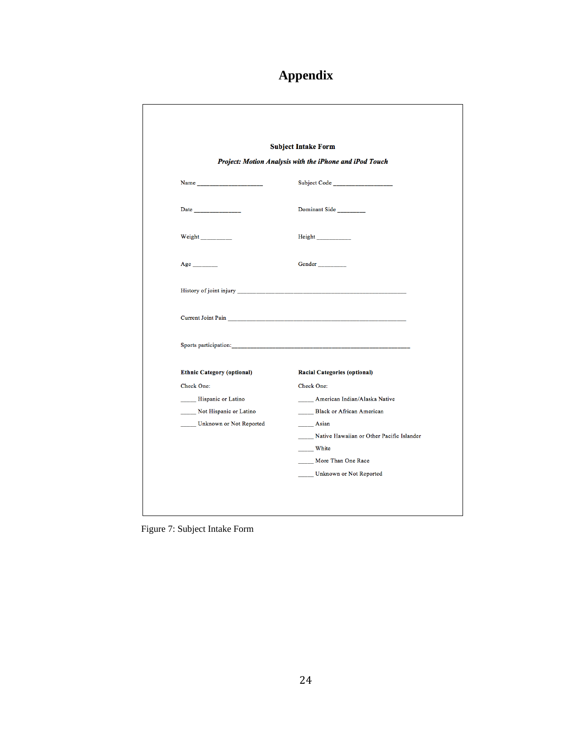## **Appendix**

|                                   | <b>Subject Intake Form</b>                                                                                                                                                                                                          |
|-----------------------------------|-------------------------------------------------------------------------------------------------------------------------------------------------------------------------------------------------------------------------------------|
|                                   | Project: Motion Analysis with the iPhone and iPod Touch                                                                                                                                                                             |
|                                   | Subject Code <b>Subject</b> Code                                                                                                                                                                                                    |
|                                   | Dominant Side                                                                                                                                                                                                                       |
| Weight                            | Height_____________                                                                                                                                                                                                                 |
| Age                               | Gender                                                                                                                                                                                                                              |
|                                   |                                                                                                                                                                                                                                     |
|                                   | Current Joint Pain <b>Markov and Science Community Contract Community</b> Contract on the Community Contract On the Community Community Community Community Community Community Community Community Community Community Community C |
|                                   |                                                                                                                                                                                                                                     |
| <b>Ethnic Category (optional)</b> | <b>Racial Categories (optional)</b>                                                                                                                                                                                                 |
| Check One:                        | Check One:                                                                                                                                                                                                                          |
| Hispanic or Latino                | _____ American Indian/Alaska Native                                                                                                                                                                                                 |
| Not Hispanic or Latino            | Black or African American                                                                                                                                                                                                           |
| ____ Unknown or Not Reported      | $\frac{\ }{\ }$ Asian                                                                                                                                                                                                               |
|                                   | Native Hawaiian or Other Pacific Islander                                                                                                                                                                                           |
|                                   | White                                                                                                                                                                                                                               |
|                                   | More Than One Race                                                                                                                                                                                                                  |

<span id="page-29-0"></span>Figure 7: Subject Intake Form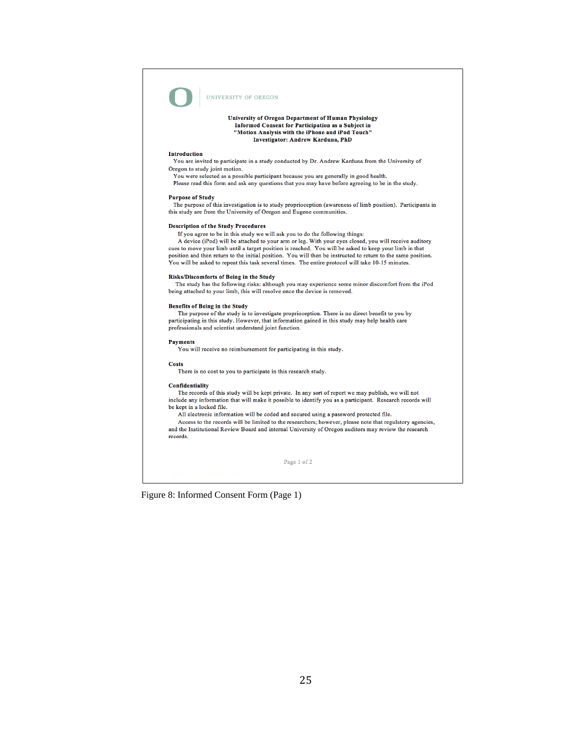

#### UNIVERSITY OF OREGON

#### University of Oregon Department of Human Physiology Informed Consent for Participation as a Subject in "Motion Analysis with the iPhone and iPod Touch" **Investigator: Andrew Karduna, PhD**

#### **Introduction**

You are invited to participate in a study conducted by Dr. Andrew Karduna from the University of Oregon to study joint motion.

You were selected as a possible participant because you are generally in good health.

Please read this form and ask any questions that you may have before agreeing to be in the study.

#### **Purpose of Study**

The purpose of this investigation is to study proprioception (awareness of limb position). Participants in this study are from the University of Oregon and Eugene communities.

#### **Description of the Study Procedures**

If you agree to be in this study we will ask you to do the following things:

A device (iPod) will be attached to your arm or leg. With your eyes closed, you will receive auditory cues to move your limb until a target position is reached. You will be asked to keep your limb in that position and then return to the initial position. You will then be instructed to return to the same position. You will be asked to repeat this task several times. The entire protocol will take 10-15 minutes.

#### Risks/Discomforts of Being in the Study

The study has the following risks: although you may experience some minor discomfort from the iPod being attached to your limb, this will resolve once the device is removed.

#### **Benefits of Being in the Study**

The purpose of the study is to investigate proprioception. There is no direct benefit to you by participating in this study. However, that information gained in this study may help health care professionals and scientist understand joint function.

#### **Payments** You will receive no reimbursement for participating in this study.

**Costs** 

There is no cost to you to participate in this research study.

#### Confidentiality

The records of this study will be kept private. In any sort of report we may publish, we will not include any information that will make it possible to identify you as a participant. Research records will be kept in a locked file.

All electronic information will be coded and secured using a password protected file.

Access to the records will be limited to the researchers; however, please note that regulatory agencies, and the Institutional Review Board and internal University of Oregon auditors may review the research records.

Page 1 of 2

<span id="page-30-0"></span>Figure 8: Informed Consent Form (Page 1)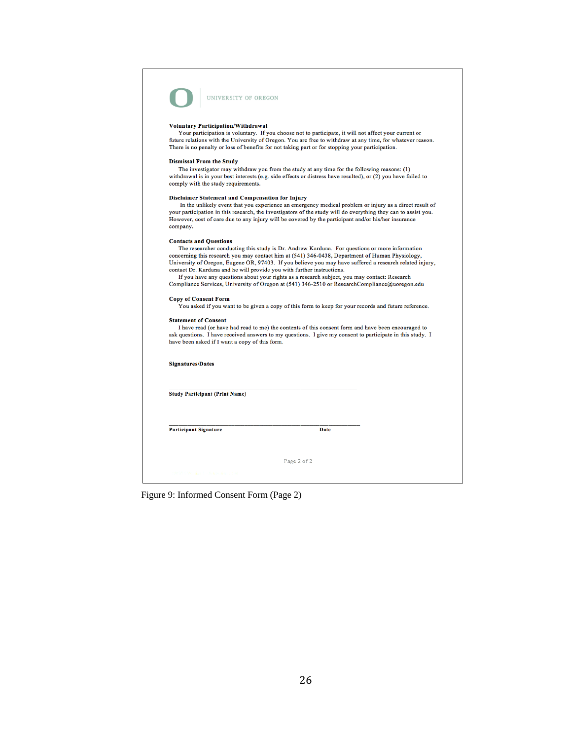

UNIVERSITY OF OREGON

#### **Voluntary Participation/Withdrawal**

Your participation is voluntary. If you choose not to participate, it will not affect your current or future relations with the University of Oregon. You are free to withdraw at any time, for whatever reason. There is no penalty or loss of benefits for not taking part or for stopping your participation.

#### **Dismissal From the Study**

The investigator may withdraw you from the study at any time for the following reasons: (1)<br>withdrawal is in your best interests (e.g. side effects or distress have resulted), or (2) you have failed to comply with the study requirements.

#### Disclaimer Statement and Compensation for Injury

In the unlikely event that you experience an emergency medical problem or injury as a direct result of your participation in this research, the investigators of the study will do everything they can to assist you. However, cost of care due to any injury will be covered by the participant and/or his/her insurance company.

#### **Contacts and Questions**

The researcher conducting this study is Dr. Andrew Karduna. For questions or more information concerning this research you may contact him at (541) 346-0438, Department of Human Physiology, University of Oregon, Eugene OR, 97403. If you believe you may have suffered a research related injury, contact Dr. Karduna and he will provide you with further instructions.

If you have any questions about your rights as a research subject, you may contact: Research Compliance Services, University of Oregon at (541) 346-2510 or ResearchCompliance@uoregon.edu

#### **Copy of Consent Form**

You asked if you want to be given a copy of this form to keep for your records and future reference.

#### **Statement of Consent**

I have read (or have had read to me) the contents of this consent form and have been encouraged to ask questions. I have received answers to my questions. I give my consent to participate in this study. I

| <b>Signatures/Dates</b>               |      |  |
|---------------------------------------|------|--|
|                                       |      |  |
|                                       |      |  |
| <b>Study Participant (Print Name)</b> |      |  |
|                                       |      |  |
|                                       |      |  |
|                                       |      |  |
|                                       |      |  |
| <b>Participant Signature</b>          | Date |  |
|                                       |      |  |
|                                       |      |  |

<span id="page-31-0"></span>Figure 9: Informed Consent Form (Page 2)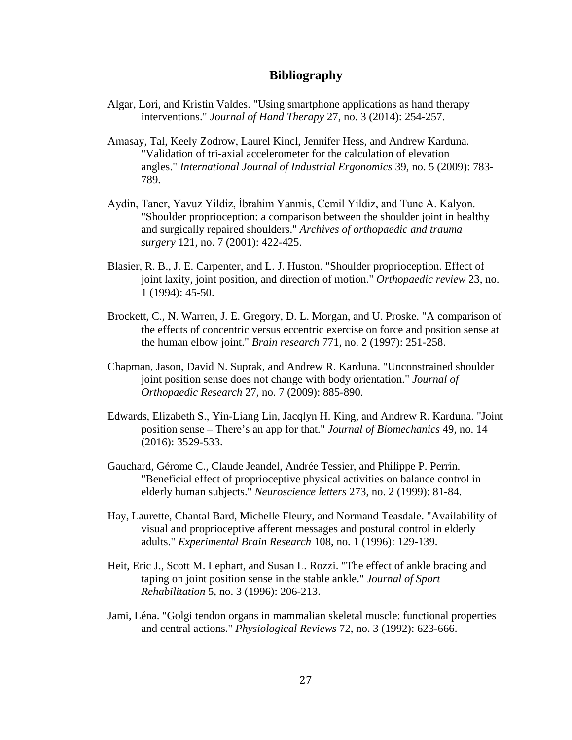## **Bibliography**

- Algar, Lori, and Kristin Valdes. "Using smartphone applications as hand therapy interventions." *Journal of Hand Therapy* 27, no. 3 (2014): 254-257.
- Amasay, Tal, Keely Zodrow, Laurel Kincl, Jennifer Hess, and Andrew Karduna. "Validation of tri-axial accelerometer for the calculation of elevation angles." *International Journal of Industrial Ergonomics* 39, no. 5 (2009): 783- 789.
- Aydin, Taner, Yavuz Yildiz, İbrahim Yanmis, Cemil Yildiz, and Tunc A. Kalyon. "Shoulder proprioception: a comparison between the shoulder joint in healthy and surgically repaired shoulders." *Archives of orthopaedic and trauma surgery* 121, no. 7 (2001): 422-425.
- Blasier, R. B., J. E. Carpenter, and L. J. Huston. "Shoulder proprioception. Effect of joint laxity, joint position, and direction of motion." *Orthopaedic review* 23, no. 1 (1994): 45-50.
- Brockett, C., N. Warren, J. E. Gregory, D. L. Morgan, and U. Proske. "A comparison of the effects of concentric versus eccentric exercise on force and position sense at the human elbow joint." *Brain research* 771, no. 2 (1997): 251-258.
- Chapman, Jason, David N. Suprak, and Andrew R. Karduna. "Unconstrained shoulder joint position sense does not change with body orientation." *Journal of Orthopaedic Research* 27, no. 7 (2009): 885-890.
- Edwards, Elizabeth S., Yin-Liang Lin, Jacqlyn H. King, and Andrew R. Karduna. "Joint position sense – There's an app for that." *Journal of Biomechanics* 49, no. 14 (2016): 3529-533.
- Gauchard, Gérome C., Claude Jeandel, Andrée Tessier, and Philippe P. Perrin. "Beneficial effect of proprioceptive physical activities on balance control in elderly human subjects." *Neuroscience letters* 273, no. 2 (1999): 81-84.
- Hay, Laurette, Chantal Bard, Michelle Fleury, and Normand Teasdale. "Availability of visual and proprioceptive afferent messages and postural control in elderly adults." *Experimental Brain Research* 108, no. 1 (1996): 129-139.
- Heit, Eric J., Scott M. Lephart, and Susan L. Rozzi. "The effect of ankle bracing and taping on joint position sense in the stable ankle." *Journal of Sport Rehabilitation* 5, no. 3 (1996): 206-213.
- Jami, Léna. "Golgi tendon organs in mammalian skeletal muscle: functional properties and central actions." *Physiological Reviews* 72, no. 3 (1992): 623-666.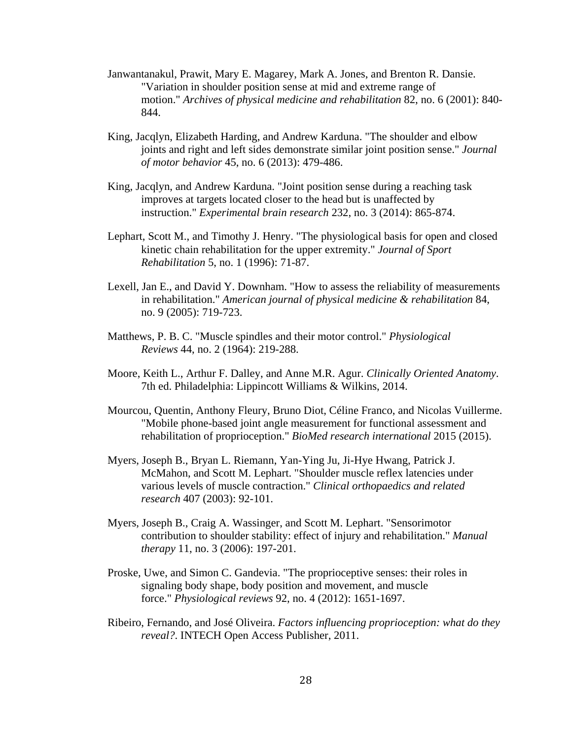- Janwantanakul, Prawit, Mary E. Magarey, Mark A. Jones, and Brenton R. Dansie. "Variation in shoulder position sense at mid and extreme range of motion." *Archives of physical medicine and rehabilitation* 82, no. 6 (2001): 840- 844.
- King, Jacqlyn, Elizabeth Harding, and Andrew Karduna. "The shoulder and elbow joints and right and left sides demonstrate similar joint position sense." *Journal of motor behavior* 45, no. 6 (2013): 479-486.
- King, Jacqlyn, and Andrew Karduna. "Joint position sense during a reaching task improves at targets located closer to the head but is unaffected by instruction." *Experimental brain research* 232, no. 3 (2014): 865-874.
- Lephart, Scott M., and Timothy J. Henry. "The physiological basis for open and closed kinetic chain rehabilitation for the upper extremity." *Journal of Sport Rehabilitation* 5, no. 1 (1996): 71-87.
- Lexell, Jan E., and David Y. Downham. "How to assess the reliability of measurements in rehabilitation." *American journal of physical medicine & rehabilitation* 84, no. 9 (2005): 719-723.
- Matthews, P. B. C. "Muscle spindles and their motor control." *Physiological Reviews* 44, no. 2 (1964): 219-288.
- Moore, Keith L., Arthur F. Dalley, and Anne M.R. Agur. *Clinically Oriented Anatomy*. 7th ed. Philadelphia: Lippincott Williams & Wilkins, 2014.
- Mourcou, Quentin, Anthony Fleury, Bruno Diot, Céline Franco, and Nicolas Vuillerme. "Mobile phone-based joint angle measurement for functional assessment and rehabilitation of proprioception." *BioMed research international* 2015 (2015).
- Myers, Joseph B., Bryan L. Riemann, Yan-Ying Ju, Ji-Hye Hwang, Patrick J. McMahon, and Scott M. Lephart. "Shoulder muscle reflex latencies under various levels of muscle contraction." *Clinical orthopaedics and related research* 407 (2003): 92-101.
- Myers, Joseph B., Craig A. Wassinger, and Scott M. Lephart. "Sensorimotor contribution to shoulder stability: effect of injury and rehabilitation." *Manual therapy* 11, no. 3 (2006): 197-201.
- Proske, Uwe, and Simon C. Gandevia. "The proprioceptive senses: their roles in signaling body shape, body position and movement, and muscle force." *Physiological reviews* 92, no. 4 (2012): 1651-1697.
- Ribeiro, Fernando, and José Oliveira. *Factors influencing proprioception: what do they reveal?*. INTECH Open Access Publisher, 2011.